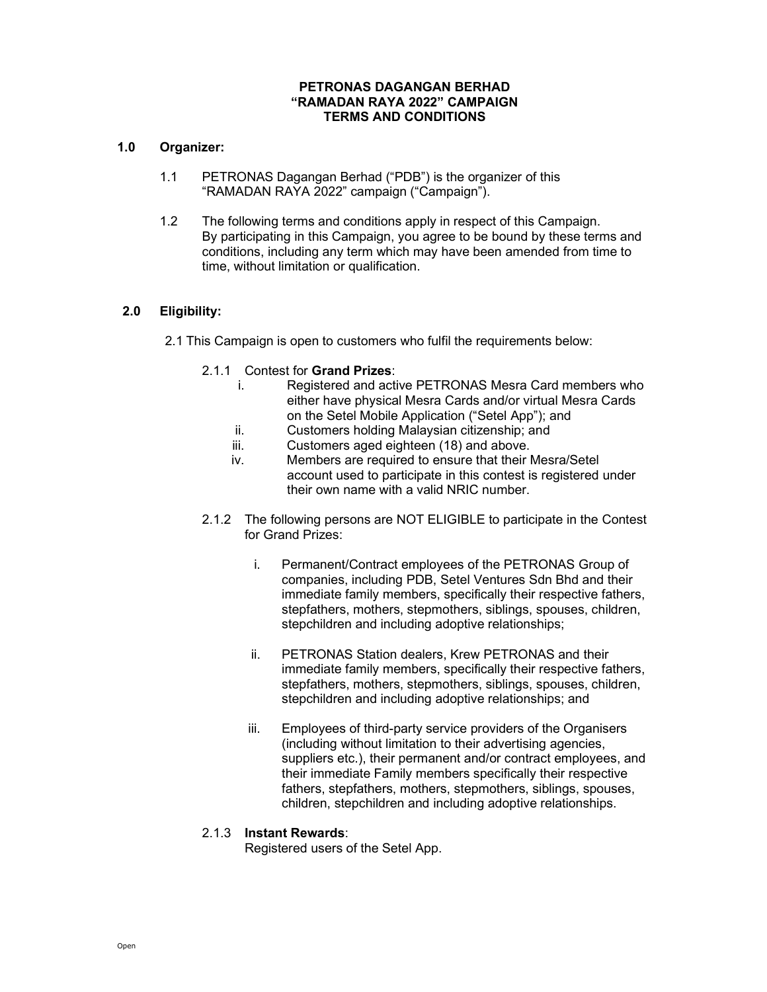## PETRONAS DAGANGAN BERHAD "RAMADAN RAYA 2022" CAMPAIGN TERMS AND CONDITIONS

## 1.0 Organizer:

- 1.1 PETRONAS Dagangan Berhad ("PDB") is the organizer of this "RAMADAN RAYA 2022" campaign ("Campaign").
- 1.2 The following terms and conditions apply in respect of this Campaign. By participating in this Campaign, you agree to be bound by these terms and conditions, including any term which may have been amended from time to time, without limitation or qualification.

# 2.0 Eligibility:

- 2.1 This Campaign is open to customers who fulfil the requirements below:
	- 2.1.1 Contest for Grand Prizes:
		- i. Registered and active PETRONAS Mesra Card members who either have physical Mesra Cards and/or virtual Mesra Cards on the Setel Mobile Application ("Setel App"); and
		- ii. Customers holding Malaysian citizenship; and
		- iii. Customers aged eighteen (18) and above.
		- iv. Members are required to ensure that their Mesra/Setel account used to participate in this contest is registered under their own name with a valid NRIC number.
	- 2.1.2 The following persons are NOT ELIGIBLE to participate in the Contest for Grand Prizes:
		- i. Permanent/Contract employees of the PETRONAS Group of companies, including PDB, Setel Ventures Sdn Bhd and their immediate family members, specifically their respective fathers, stepfathers, mothers, stepmothers, siblings, spouses, children, stepchildren and including adoptive relationships;
		- ii. PETRONAS Station dealers, Krew PETRONAS and their immediate family members, specifically their respective fathers, stepfathers, mothers, stepmothers, siblings, spouses, children, stepchildren and including adoptive relationships; and
		- iii. Employees of third-party service providers of the Organisers (including without limitation to their advertising agencies, suppliers etc.), their permanent and/or contract employees, and their immediate Family members specifically their respective fathers, stepfathers, mothers, stepmothers, siblings, spouses, children, stepchildren and including adoptive relationships.

## 2.1.3 Instant Rewards:

Registered users of the Setel App.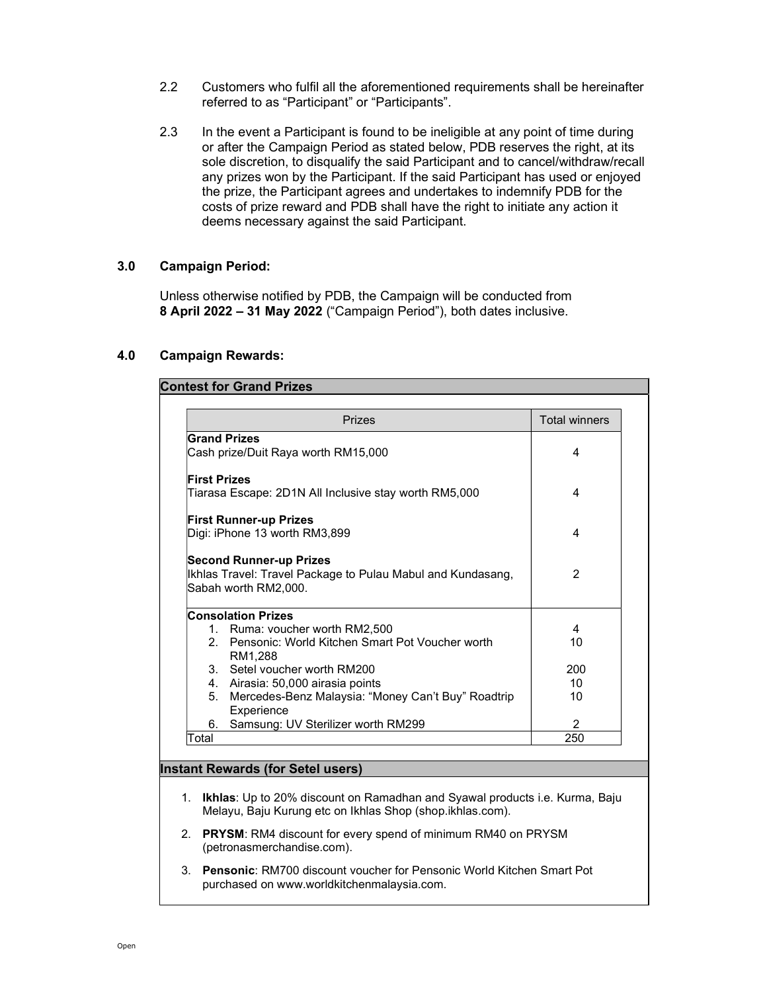- 2.2 Customers who fulfil all the aforementioned requirements shall be hereinafter referred to as "Participant" or "Participants".
- 2.3 In the event a Participant is found to be ineligible at any point of time during or after the Campaign Period as stated below, PDB reserves the right, at its sole discretion, to disqualify the said Participant and to cancel/withdraw/recall any prizes won by the Participant. If the said Participant has used or enjoyed the prize, the Participant agrees and undertakes to indemnify PDB for the costs of prize reward and PDB shall have the right to initiate any action it deems necessary against the said Participant.

## 3.0 Campaign Period:

Unless otherwise notified by PDB, the Campaign will be conducted from 8 April 2022 – 31 May 2022 ("Campaign Period"), both dates inclusive.

### 4.0 Campaign Rewards:

|                               | <b>Prizes</b>                                                                                 | <b>Total winners</b> |
|-------------------------------|-----------------------------------------------------------------------------------------------|----------------------|
| <b>Grand Prizes</b>           |                                                                                               |                      |
|                               | Cash prize/Duit Raya worth RM15,000                                                           | 4                    |
| First Prizes                  |                                                                                               |                      |
|                               | Tiarasa Escape: 2D1N All Inclusive stay worth RM5,000                                         | 4                    |
|                               | First Runner-up Prizes                                                                        |                      |
| Digi: iPhone 13 worth RM3,899 |                                                                                               | 4                    |
|                               |                                                                                               |                      |
|                               |                                                                                               |                      |
|                               | <b>Second Runner-up Prizes</b><br>Ikhlas Travel: Travel Package to Pulau Mabul and Kundasang, | $\mathcal{P}$        |
|                               | Sabah worth RM2,000.                                                                          |                      |
|                               | <b>Consolation Prizes</b>                                                                     |                      |
|                               | 1. Ruma: voucher worth RM2,500                                                                | 4                    |
|                               | 2. Pensonic: World Kitchen Smart Pot Voucher worth                                            | 10                   |
|                               | RM1,288                                                                                       |                      |
|                               | 3. Setel youcher worth RM200                                                                  | 200                  |
|                               | 4. Airasia: 50,000 airasia points                                                             | 10                   |
| 5.                            | Mercedes-Benz Malaysia: "Money Can't Buy" Roadtrip                                            | 10                   |
| 6.                            | Experience<br>Samsung: UV Sterilizer worth RM299                                              | 2                    |

### Instant Rewards (for Setel users)

- 1. Ikhlas: Up to 20% discount on Ramadhan and Syawal products i.e. Kurma, Baju Melayu, Baju Kurung etc on Ikhlas Shop (shop.ikhlas.com).
- 2. PRYSM: RM4 discount for every spend of minimum RM40 on PRYSM (petronasmerchandise.com).
- 3. Pensonic: RM700 discount voucher for Pensonic World Kitchen Smart Pot purchased on www.worldkitchenmalaysia.com.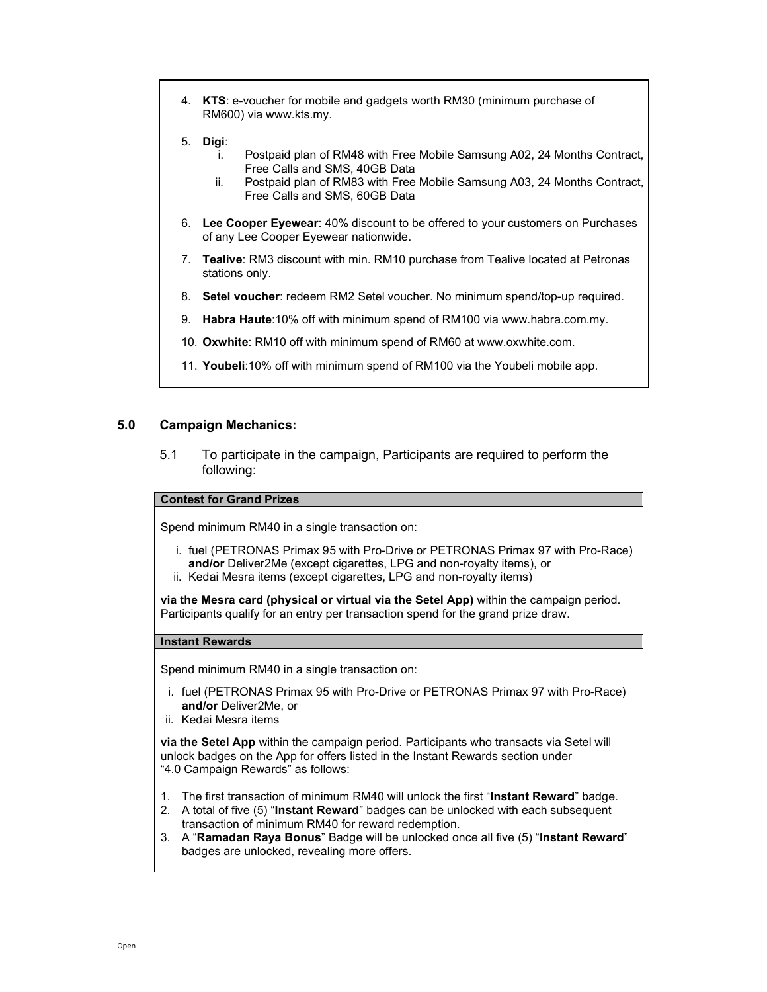- 4. KTS: e-voucher for mobile and gadgets worth RM30 (minimum purchase of RM600) via www.kts.my.
- 5. Digi:
	- i. Postpaid plan of RM48 with Free Mobile Samsung A02, 24 Months Contract, Free Calls and SMS, 40GB Data
	- ii. Postpaid plan of RM83 with Free Mobile Samsung A03, 24 Months Contract, Free Calls and SMS, 60GB Data
- 6. Lee Cooper Eyewear: 40% discount to be offered to your customers on Purchases of any Lee Cooper Eyewear nationwide.
- 7. Tealive: RM3 discount with min. RM10 purchase from Tealive located at Petronas stations only.
- 8. Setel voucher: redeem RM2 Setel voucher. No minimum spend/top-up required.
- 9. Habra Haute:10% off with minimum spend of RM100 via www.habra.com.my.
- 10. Oxwhite: RM10 off with minimum spend of RM60 at www.oxwhite.com.
- 11. Youbeli:10% off with minimum spend of RM100 via the Youbeli mobile app.

### 5.0 Campaign Mechanics:

5.1 To participate in the campaign, Participants are required to perform the following:

#### Contest for Grand Prizes

Spend minimum RM40 in a single transaction on:

- i. fuel (PETRONAS Primax 95 with Pro-Drive or PETRONAS Primax 97 with Pro-Race) and/or Deliver2Me (except cigarettes, LPG and non-royalty items), or
- ii. Kedai Mesra items (except cigarettes, LPG and non-royalty items)

via the Mesra card (physical or virtual via the Setel App) within the campaign period. Participants qualify for an entry per transaction spend for the grand prize draw.

### Instant Rewards

Spend minimum RM40 in a single transaction on:

- i. fuel (PETRONAS Primax 95 with Pro-Drive or PETRONAS Primax 97 with Pro-Race) and/or Deliver2Me, or
- ii. Kedai Mesra items

via the Setel App within the campaign period. Participants who transacts via Setel will unlock badges on the App for offers listed in the Instant Rewards section under "4.0 Campaign Rewards" as follows:

- 1. The first transaction of minimum RM40 will unlock the first "Instant Reward" badge.
- 2. A total of five (5) "Instant Reward" badges can be unlocked with each subsequent transaction of minimum RM40 for reward redemption.
- 3. A "Ramadan Raya Bonus" Badge will be unlocked once all five (5) "Instant Reward" badges are unlocked, revealing more offers.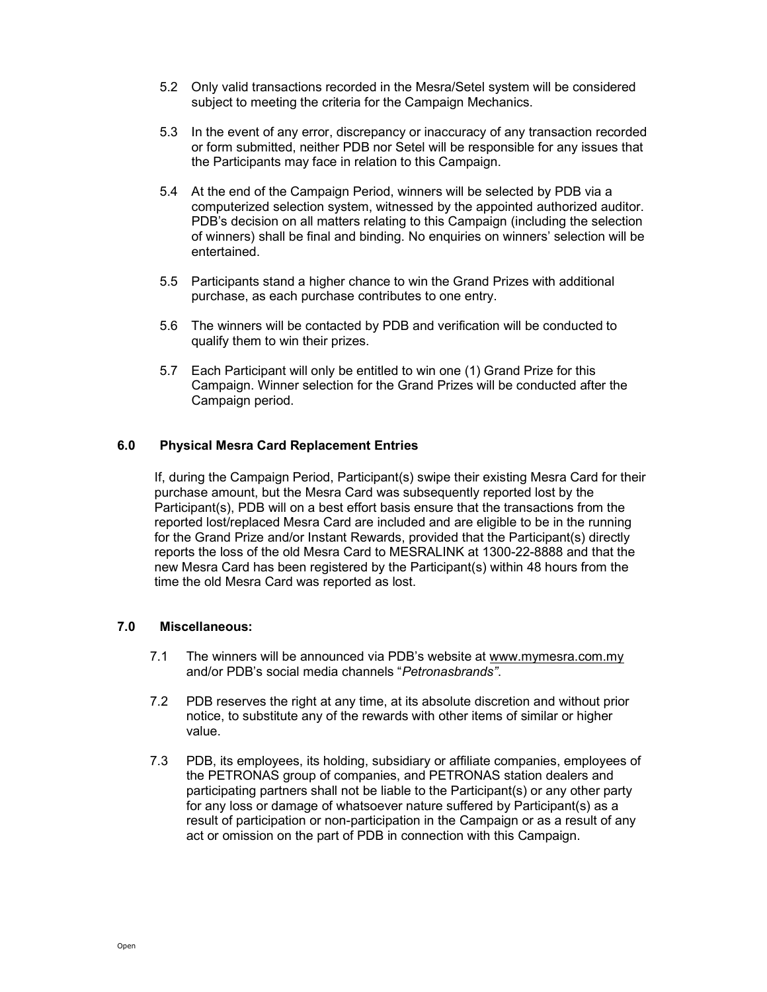- 5.2 Only valid transactions recorded in the Mesra/Setel system will be considered subject to meeting the criteria for the Campaign Mechanics.
- 5.3 In the event of any error, discrepancy or inaccuracy of any transaction recorded or form submitted, neither PDB nor Setel will be responsible for any issues that the Participants may face in relation to this Campaign.
- 5.4 At the end of the Campaign Period, winners will be selected by PDB via a computerized selection system, witnessed by the appointed authorized auditor. PDB's decision on all matters relating to this Campaign (including the selection of winners) shall be final and binding. No enquiries on winners' selection will be entertained.
- 5.5 Participants stand a higher chance to win the Grand Prizes with additional purchase, as each purchase contributes to one entry.
- 5.6 The winners will be contacted by PDB and verification will be conducted to qualify them to win their prizes.
- 5.7 Each Participant will only be entitled to win one (1) Grand Prize for this Campaign. Winner selection for the Grand Prizes will be conducted after the Campaign period.

# 6.0 Physical Mesra Card Replacement Entries

If, during the Campaign Period, Participant(s) swipe their existing Mesra Card for their purchase amount, but the Mesra Card was subsequently reported lost by the Participant(s), PDB will on a best effort basis ensure that the transactions from the reported lost/replaced Mesra Card are included and are eligible to be in the running for the Grand Prize and/or Instant Rewards, provided that the Participant(s) directly reports the loss of the old Mesra Card to MESRALINK at 1300-22-8888 and that the new Mesra Card has been registered by the Participant(s) within 48 hours from the time the old Mesra Card was reported as lost.

### 7.0 Miscellaneous:

- 7.1 The winners will be announced via PDB's website at www.mymesra.com.my and/or PDB's social media channels "Petronasbrands".
- 7.2 PDB reserves the right at any time, at its absolute discretion and without prior notice, to substitute any of the rewards with other items of similar or higher value.
- 7.3 PDB, its employees, its holding, subsidiary or affiliate companies, employees of the PETRONAS group of companies, and PETRONAS station dealers and participating partners shall not be liable to the Participant(s) or any other party for any loss or damage of whatsoever nature suffered by Participant(s) as a result of participation or non-participation in the Campaign or as a result of any act or omission on the part of PDB in connection with this Campaign.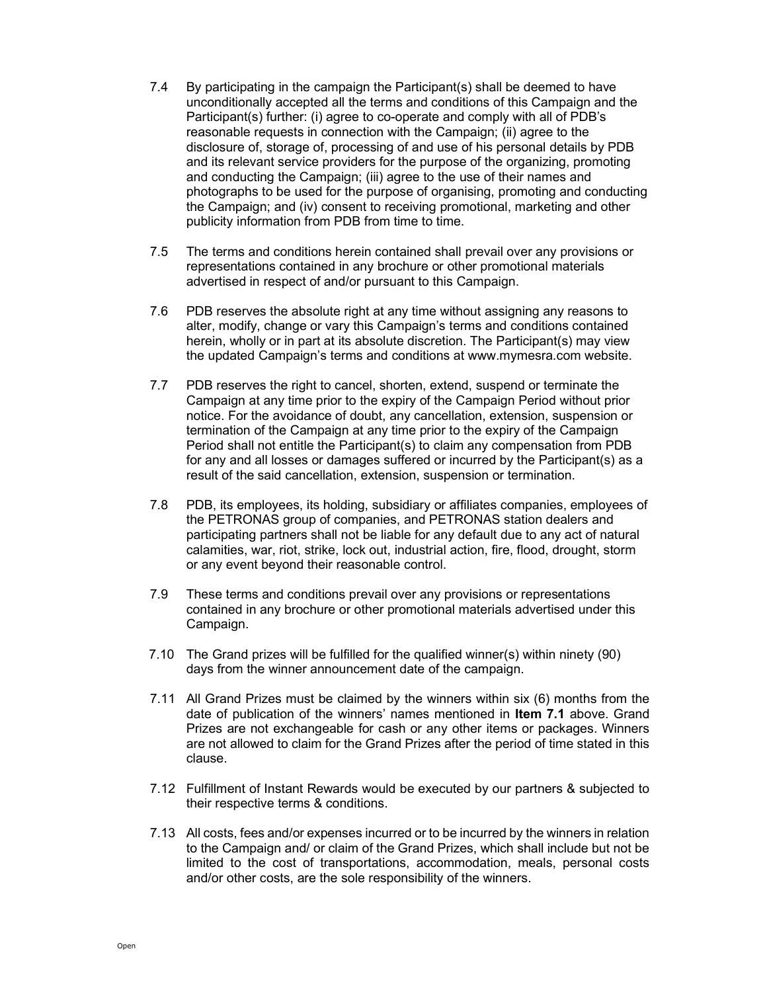- 7.4 By participating in the campaign the Participant(s) shall be deemed to have unconditionally accepted all the terms and conditions of this Campaign and the Participant(s) further: (i) agree to co-operate and comply with all of PDB's reasonable requests in connection with the Campaign; (ii) agree to the disclosure of, storage of, processing of and use of his personal details by PDB and its relevant service providers for the purpose of the organizing, promoting and conducting the Campaign; (iii) agree to the use of their names and photographs to be used for the purpose of organising, promoting and conducting the Campaign; and (iv) consent to receiving promotional, marketing and other publicity information from PDB from time to time.
- 7.5 The terms and conditions herein contained shall prevail over any provisions or representations contained in any brochure or other promotional materials advertised in respect of and/or pursuant to this Campaign.
- 7.6 PDB reserves the absolute right at any time without assigning any reasons to alter, modify, change or vary this Campaign's terms and conditions contained herein, wholly or in part at its absolute discretion. The Participant(s) may view the updated Campaign's terms and conditions at www.mymesra.com website.
- 7.7 PDB reserves the right to cancel, shorten, extend, suspend or terminate the Campaign at any time prior to the expiry of the Campaign Period without prior notice. For the avoidance of doubt, any cancellation, extension, suspension or termination of the Campaign at any time prior to the expiry of the Campaign Period shall not entitle the Participant(s) to claim any compensation from PDB for any and all losses or damages suffered or incurred by the Participant(s) as a result of the said cancellation, extension, suspension or termination.
- 7.8 PDB, its employees, its holding, subsidiary or affiliates companies, employees of the PETRONAS group of companies, and PETRONAS station dealers and participating partners shall not be liable for any default due to any act of natural calamities, war, riot, strike, lock out, industrial action, fire, flood, drought, storm or any event beyond their reasonable control.
- 7.9 These terms and conditions prevail over any provisions or representations contained in any brochure or other promotional materials advertised under this Campaign.
- 7.10 The Grand prizes will be fulfilled for the qualified winner(s) within ninety (90) days from the winner announcement date of the campaign.
- 7.11 All Grand Prizes must be claimed by the winners within six (6) months from the date of publication of the winners' names mentioned in Item 7.1 above. Grand Prizes are not exchangeable for cash or any other items or packages. Winners are not allowed to claim for the Grand Prizes after the period of time stated in this clause.
- 7.12 Fulfillment of Instant Rewards would be executed by our partners & subjected to their respective terms & conditions.
- 7.13 All costs, fees and/or expenses incurred or to be incurred by the winners in relation to the Campaign and/ or claim of the Grand Prizes, which shall include but not be limited to the cost of transportations, accommodation, meals, personal costs and/or other costs, are the sole responsibility of the winners.